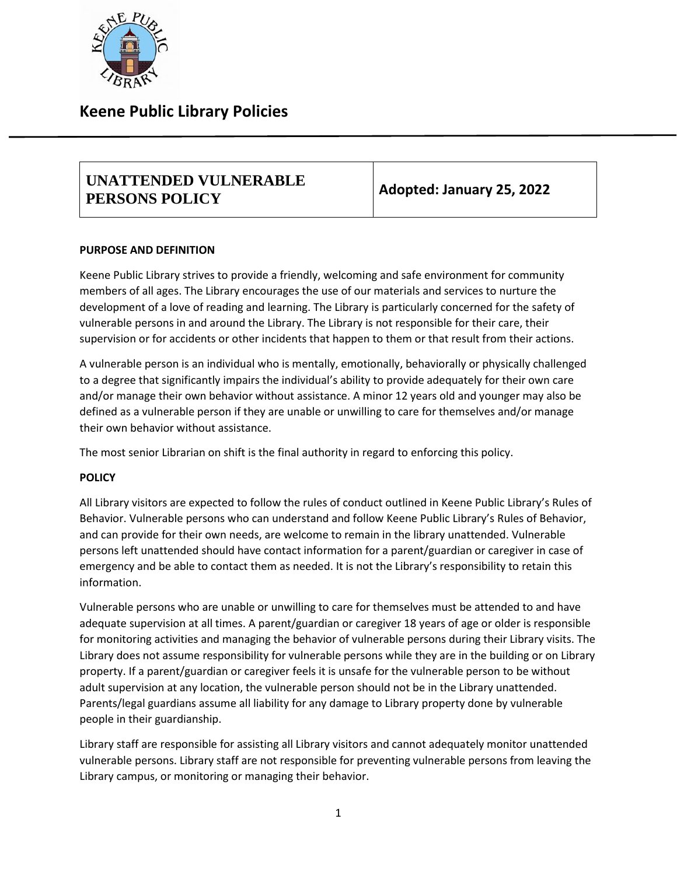

## **Keene Public Library Policies**

### **UNATTENDED VULNERABLE PERSONS POLICY Adopted: January 25, 2022**

#### **PURPOSE AND DEFINITION**

Keene Public Library strives to provide a friendly, welcoming and safe environment for community members of all ages. The Library encourages the use of our materials and services to nurture the development of a love of reading and learning. The Library is particularly concerned for the safety of vulnerable persons in and around the Library. The Library is not responsible for their care, their supervision or for accidents or other incidents that happen to them or that result from their actions.

A vulnerable person is an individual who is mentally, emotionally, behaviorally or physically challenged to a degree that significantly impairs the individual's ability to provide adequately for their own care and/or manage their own behavior without assistance. A minor 12 years old and younger may also be defined as a vulnerable person if they are unable or unwilling to care for themselves and/or manage their own behavior without assistance.

The most senior Librarian on shift is the final authority in regard to enforcing this policy.

#### **POLICY**

All Library visitors are expected to follow the rules of conduct outlined in Keene Public Library's Rules of Behavior. Vulnerable persons who can understand and follow Keene Public Library's Rules of Behavior, and can provide for their own needs, are welcome to remain in the library unattended. Vulnerable persons left unattended should have contact information for a parent/guardian or caregiver in case of emergency and be able to contact them as needed. It is not the Library's responsibility to retain this information.

Vulnerable persons who are unable or unwilling to care for themselves must be attended to and have adequate supervision at all times. A parent/guardian or caregiver 18 years of age or older is responsible for monitoring activities and managing the behavior of vulnerable persons during their Library visits. The Library does not assume responsibility for vulnerable persons while they are in the building or on Library property. If a parent/guardian or caregiver feels it is unsafe for the vulnerable person to be without adult supervision at any location, the vulnerable person should not be in the Library unattended. Parents/legal guardians assume all liability for any damage to Library property done by vulnerable people in their guardianship.

Library staff are responsible for assisting all Library visitors and cannot adequately monitor unattended vulnerable persons. Library staff are not responsible for preventing vulnerable persons from leaving the Library campus, or monitoring or managing their behavior.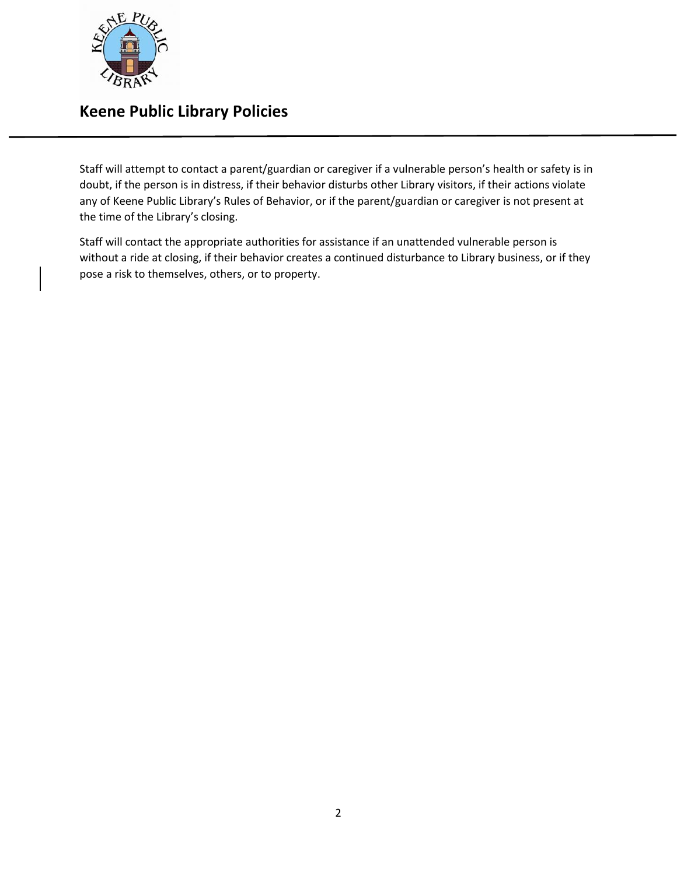

# **Keene Public Library Policies**

Staff will attempt to contact a parent/guardian or caregiver if a vulnerable person's health or safety is in doubt, if the person is in distress, if their behavior disturbs other Library visitors, if their actions violate any of Keene Public Library's Rules of Behavior, or if the parent/guardian or caregiver is not present at the time of the Library's closing.

Staff will contact the appropriate authorities for assistance if an unattended vulnerable person is without a ride at closing, if their behavior creates a continued disturbance to Library business, or if they pose a risk to themselves, others, or to property.